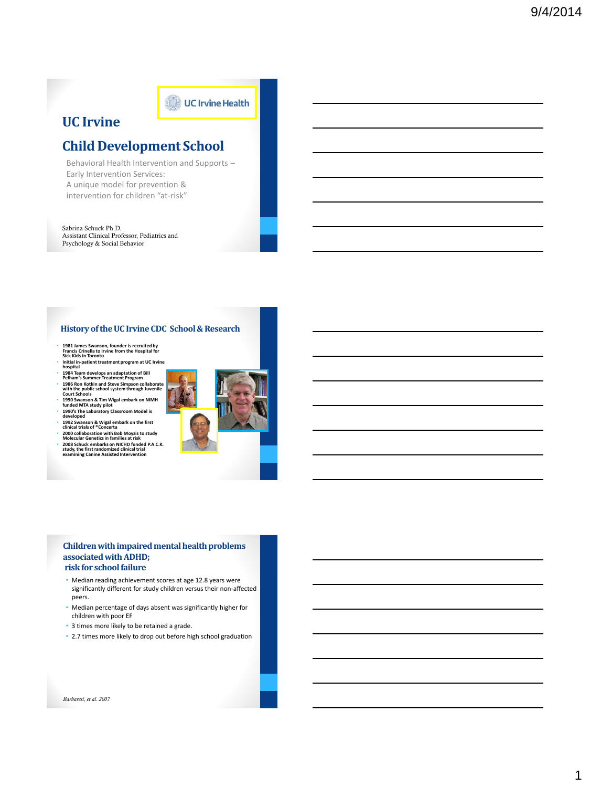### **UC Irvine**

### **Child Development School**

UC Irvine Health

Behavioral Health Intervention and Supports – Early Intervention Services: A unique model for prevention & intervention for children "at-risk"

Sabrina Schuck Ph.D. Assistant Clinical Professor, Pediatrics and Psychology & Social Behavior

### **History of the UC Irvine CDC School & Research**

- **1981 James Swanson, founder is recruited by Francis Crinella to Irvine from the Hospital for Sick Kids in Toronto**
- **Initial in-patient treatment program at UC Irvine hospital 1984 Team develops an adaptation of Bill Pelham's Summer Treatment Program**
- 
- 
- **1986 Ron Kotkin and Steve Simpson collaborate with the public school system through Juvenile Court Schools**
- 
- 
- 
- 
- 1990 Swanson & Tim Wigal embark on NIMH<br>1990's The Laboratory Classroom Model is<br>1990's The Laboratory Classroom Model is<br>1992 Swanson & Wigal embark on the first<br>10 inical trials of "Concerta"<br>2000 Collaboration with Bob



#### **Children with impaired mental health problems associated with ADHD; risk for school failure**

- Median reading achievement scores at age 12.8 years were significantly different for study children versus their non-affected peers.
- Median percentage of days absent was significantly higher for children with poor EF
- 3 times more likely to be retained a grade.
- 2.7 times more likely to drop out before high school graduation

*Barbaresi, et al. 2007*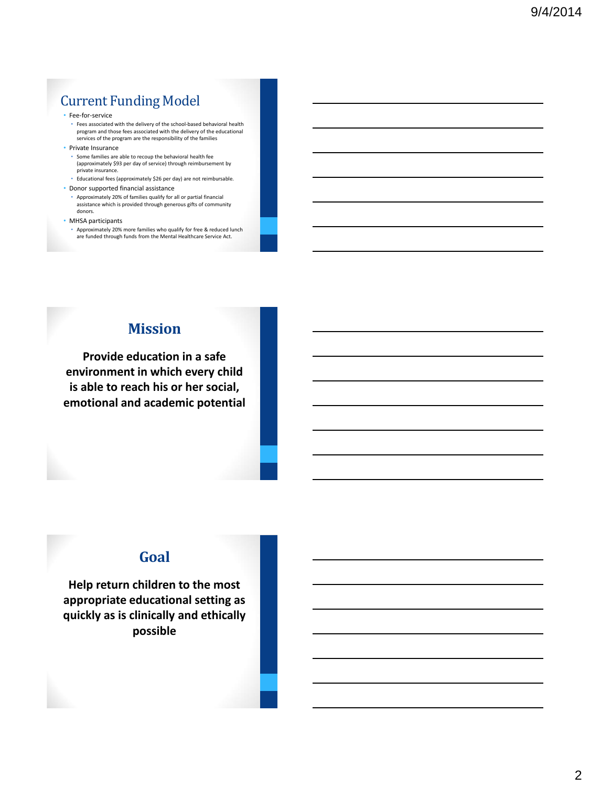# Current Funding Model

#### • Fee-for-service

• Fees associated with the delivery of the school-based behavioral health program and those fees associated with the delivery of the educational services of the program are the responsibility of the families

• Private Insurance

• Some families are able to recoup the behavioral health fee (approximately \$93 per day of service) through reimbursement by private insurance.

- Educational fees (approximately \$26 per day) are not reimbursable.
- Donor supported financial assistance

#### • Approximately 20% of families qualify for all or partial financial assistance which is provided through generous gifts of community donors.

#### • MHSA participants

• Approximately 20% more families who qualify for free & reduced lunch are funded through funds from the Mental Healthcare Service Act.

### **Mission**

**Provide education in a safe environment in which every child is able to reach his or her social, emotional and academic potential**

### **Goal**

**Help return children to the most appropriate educational setting as quickly as is clinically and ethically possible**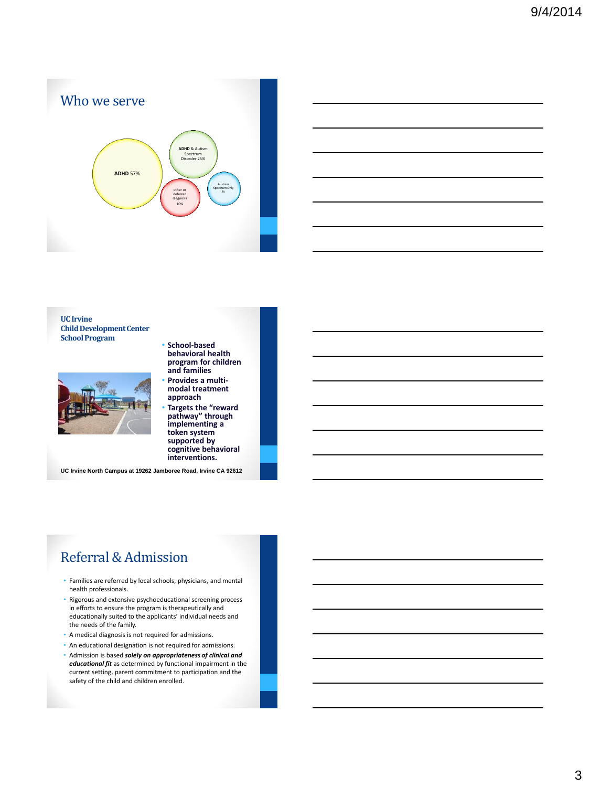



**UC Irvine Child Development Center School Program**



- **School-based behavioral health program for children and families** • **Provides a multi-**
- **modal treatment approach**
- **Targets the "reward pathway" through implementing a token system supported by cognitive behavioral interventions.**

**UC Irvine North Campus at 19262 Jamboree Road, Irvine CA 92612**

# Referral & Admission

- Families are referred by local schools, physicians, and mental health professionals.
- Rigorous and extensive psychoeducational screening process in efforts to ensure the program is therapeutically and educationally suited to the applicants' individual needs and the needs of the family.
- A medical diagnosis is not required for admissions.
- An educational designation is not required for admissions.
- Admission is based *solely on appropriateness of clinical and educational fit* as determined by functional impairment in the current setting, parent commitment to participation and the safety of the child and children enrolled.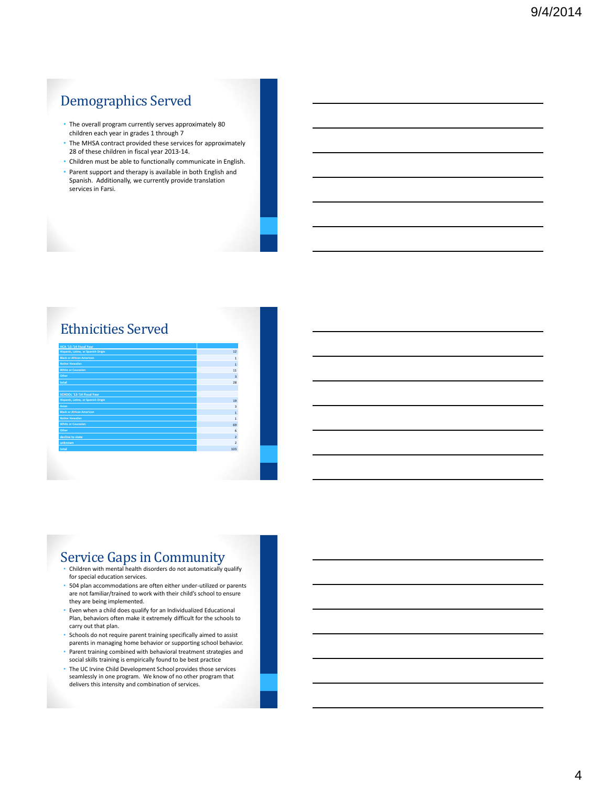# Demographics Served

- The overall program currently serves approximately 80 children each year in grades 1 through 7
- The MHSA contract provided these services for approximately 28 of these children in fiscal year 2013-14.
- Children must be able to functionally communicate in English.
- Parent support and therapy is available in both English and Spanish. Additionally, we currently provide translation services in Farsi.

### Ethnicities Served

| HCA '13-'14 Fiscal Year             |                         |
|-------------------------------------|-------------------------|
| Hispanic, Latino, or Spanish Origin | 12                      |
| <b>Black or African American</b>    | $\mathbf{1}$            |
| <b>Native Hawaiian</b>              | $\mathbf{1}$            |
| <b>White or Caucasian</b>           | 11                      |
| Other                               | $\overline{\mathbf{3}}$ |
| total                               | 28                      |
|                                     |                         |
| SCHOOL '13-'14 Fiscal Year          |                         |
| Hispanic, Latino, or Spanish Origin | 19                      |
| Asian                               | $\overline{\mathbf{3}}$ |
| <b>Black or African American</b>    | $\overline{1}$          |
| Native Hawaiian                     | $\mathbf{1}$            |
| <b>White or Caucasian</b>           | 69                      |
| Other                               | 6                       |
| decline to state                    | $\overline{2}$          |
| unknown                             | $\overline{2}$          |
| total                               | 103                     |
|                                     |                         |
|                                     |                         |
|                                     |                         |
|                                     |                         |

## Service Gaps in Community

- Children with mental health disorders do not automatically qualify for special education services.
- 504 plan accommodations are often either under-utilized or parents are not familiar/trained to work with their child's school to ensure they are being implemented.
- Even when a child does qualify for an Individualized Educational Plan, behaviors often make it extremely difficult for the schools to carry out that plan.
- Schools do not require parent training specifically aimed to assist parents in managing home behavior or supporting school behavior.
- Parent training combined with behavioral treatment strategies and social skills training is empirically found to be best practice
- The UC Irvine Child Development School provides those services seamlessly in one program. We know of no other program that delivers this intensity and combination of services.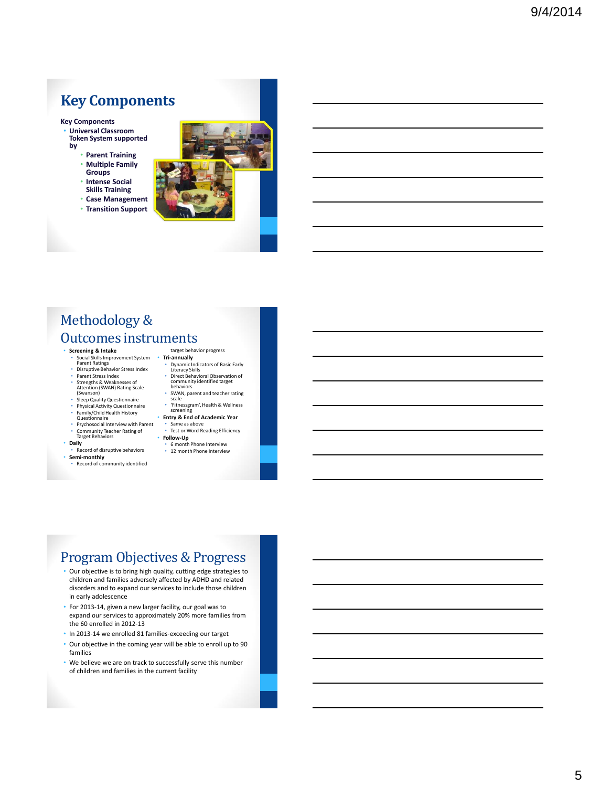# **Key Components**

**Key Components** • **Universal Classroom Token System supported** 

- **by**
	- **Parent Training**
	- **Multiple Family Groups**
	- **Intense Social**
	- **Skills Training** • **Case Management**
	- **Transition Support**



# Methodology & Outcomes instruments

#### • **Screening & Intake**

- Social Skills Improvement System Parent Ratings Disruptive Behavior Stress Index
- Parent Stress Index<br>• Strengths & Weakne
- Strengths & Weaknesses of Attention (SWAN) Rating Scale (Swanson)
- Sleep Quality Questionnaire • Physical Activity Questionnaire
- Family/Child Health History Questionnaire
- Psychosocial Interview with Parent
- Community Teacher Rating of Target Behaviors

#### • **Daily**

- Record of disruptive behaviors
- **Semi-monthly** Record of community identified
- target behavior progress • **Tri-annually**
- Dynamic Indicators of Basic Early Literacy Skills • Direct Behavioral Observation of community identified target behaviors
- SWAN, parent and teacher rating scale
- 'Fitnessgram', Health & Wellness screening
- **Entry & End of Academic Year**
- Same as above Test or Word Reading Efficiency
- **Follow-Up** • 6 month Phone Interview
- 12 month Phone Interview

# Program Objectives & Progress

- Our objective is to bring high quality, cutting edge strategies to children and families adversely affected by ADHD and related disorders and to expand our services to include those children in early adolescence
- For 2013-14, given a new larger facility, our goal was to expand our services to approximately 20% more families from the 60 enrolled in 2012-13
- In 2013-14 we enrolled 81 families-exceeding our target
- Our objective in the coming year will be able to enroll up to 90 families
- We believe we are on track to successfully serve this number of children and families in the current facility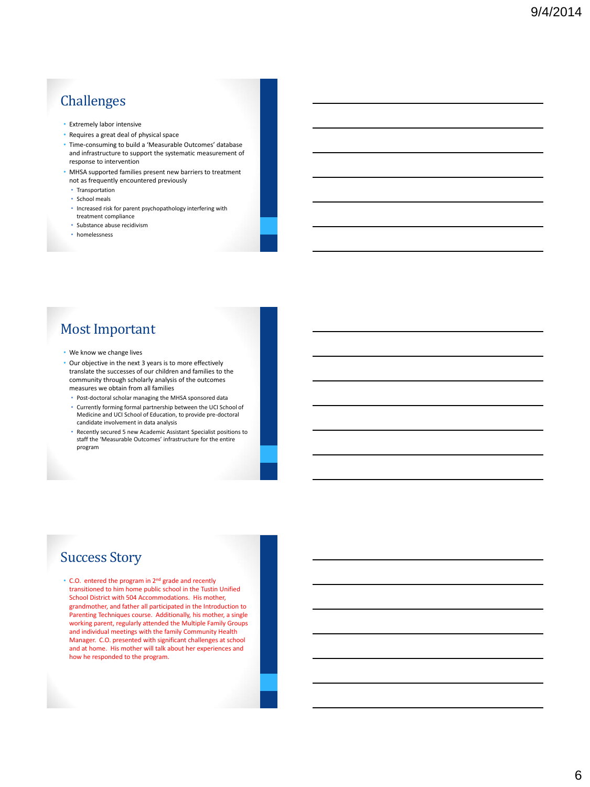# Challenges

- Extremely labor intensive
- Requires a great deal of physical space
- Time-consuming to build a 'Measurable Outcomes' database and infrastructure to support the systematic measurement of response to intervention
- MHSA supported families present new barriers to treatment not as frequently encountered previously
	- Transportation
	- School meals
	- Increased risk for parent psychopathology interfering with treatment compliance
	- Substance abuse recidivism
	- homelessness

# Most Important

- We know we change lives
- Our objective in the next 3 years is to more effectively translate the successes of our children and families to the community through scholarly analysis of the outcomes measures we obtain from all families
	- Post-doctoral scholar managing the MHSA sponsored data
	- Currently forming formal partnership between the UCI School of Medicine and UCI School of Education, to provide pre-doctoral candidate involvement in data analysis
	- Recently secured 5 new Academic Assistant Specialist positions to staff the 'Measurable Outcomes' infrastructure for the entire program

### Success Story

• C.O. entered the program in 2nd grade and recently transitioned to him home public school in the Tustin Unified School District with 504 Accommodations. His mother, grandmother, and father all participated in the Introduction to Parenting Techniques course. Additionally, his mother, a single working parent, regularly attended the Multiple Family Groups and individual meetings with the family Community Health Manager. C.O. presented with significant challenges at school and at home. His mother will talk about her experiences and how he responded to the program.